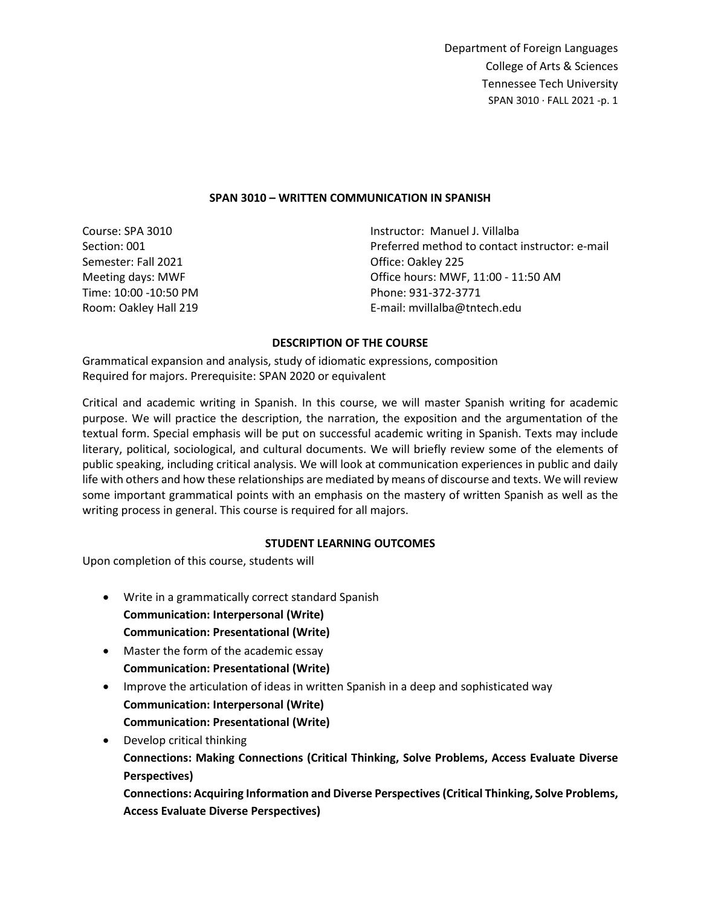### **SPAN 3010 – WRITTEN COMMUNICATION IN SPANISH**

Course: SPA 3010 Section: 001 Semester: Fall 2021 Meeting days: MWF Time: 10:00 -10:50 PM Room: Oakley Hall 219

Instructor: Manuel J. Villalba Preferred method to contact instructor: e-mail Office: Oakley 225 Office hours: MWF, 11:00 - 11:50 AM Phone: 931-372-3771 E-mail: mvillalba@tntech.edu

#### **DESCRIPTION OF THE COURSE**

Grammatical expansion and analysis, study of idiomatic expressions, composition Required for majors. Prerequisite: SPAN 2020 or equivalent

Critical and academic writing in Spanish. In this course, we will master Spanish writing for academic purpose. We will practice the description, the narration, the exposition and the argumentation of the textual form. Special emphasis will be put on successful academic writing in Spanish. Texts may include literary, political, sociological, and cultural documents. We will briefly review some of the elements of public speaking, including critical analysis. We will look at communication experiences in public and daily life with others and how these relationships are mediated by means of discourse and texts. We will review some important grammatical points with an emphasis on the mastery of written Spanish as well as the writing process in general. This course is required for all majors.

### **STUDENT LEARNING OUTCOMES**

Upon completion of this course, students will

- Write in a grammatically correct standard Spanish **Communication: Interpersonal (Write) Communication: Presentational (Write)**
- Master the form of the academic essay **Communication: Presentational (Write)**
- Improve the articulation of ideas in written Spanish in a deep and sophisticated way **Communication: Interpersonal (Write) Communication: Presentational (Write)**
- Develop critical thinking **Connections: Making Connections (Critical Thinking, Solve Problems, Access Evaluate Diverse Perspectives) Connections: Acquiring Information and Diverse Perspectives (Critical Thinking, Solve Problems,**

**Access Evaluate Diverse Perspectives)**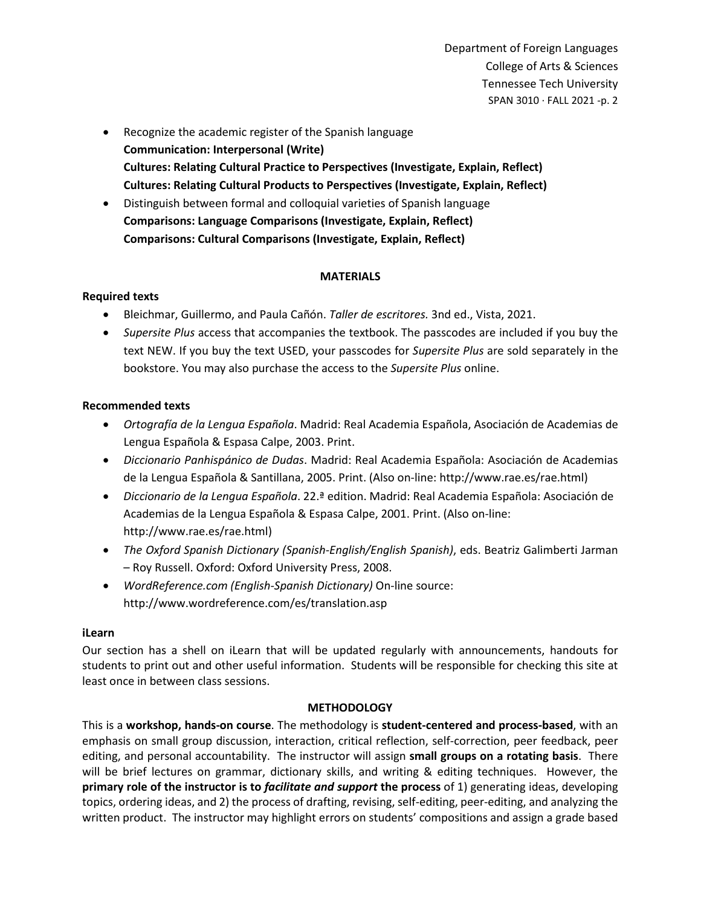- Recognize the academic register of the Spanish language **Communication: Interpersonal (Write) Cultures: Relating Cultural Practice to Perspectives (Investigate, Explain, Reflect) Cultures: Relating Cultural Products to Perspectives (Investigate, Explain, Reflect)**
- Distinguish between formal and colloquial varieties of Spanish language **Comparisons: Language Comparisons (Investigate, Explain, Reflect) Comparisons: Cultural Comparisons (Investigate, Explain, Reflect)**

# **MATERIALS**

# **Required texts**

- Bleichmar, Guillermo, and Paula Cañón. *Taller de escritores.* 3nd ed., Vista, 2021.
- *Supersite Plus* access that accompanies the textbook. The passcodes are included if you buy the text NEW. If you buy the text USED, your passcodes for *Supersite Plus* are sold separately in the bookstore. You may also purchase the access to the *Supersite Plus* online.

### **Recommended texts**

- *Ortografía de la Lengua Española*. Madrid: Real Academia Española, Asociación de Academias de Lengua Española & Espasa Calpe, 2003. Print.
- *Diccionario Panhispánico de Dudas*. Madrid: Real Academia Española: Asociación de Academias de la Lengua Española & Santillana, 2005. Print. (Also on-line: http://www.rae.es/rae.html)
- *Diccionario de la Lengua Española*. 22.ª edition. Madrid: Real Academia Española: Asociación de Academias de la Lengua Española & Espasa Calpe, 2001. Print. (Also on-line: http://www.rae.es/rae.html)
- *The Oxford Spanish Dictionary (Spanish-English/English Spanish)*, eds. Beatriz Galimberti Jarman – Roy Russell. Oxford: Oxford University Press, 2008.
- *WordReference.com (English-Spanish Dictionary)* On-line source: http://www.wordreference.com/es/translation.asp

### **iLearn**

Our section has a shell on iLearn that will be updated regularly with announcements, handouts for students to print out and other useful information. Students will be responsible for checking this site at least once in between class sessions.

### **METHODOLOGY**

This is a **workshop, hands-on course**. The methodology is **student-centered and process-based**, with an emphasis on small group discussion, interaction, critical reflection, self-correction, peer feedback, peer editing, and personal accountability. The instructor will assign **small groups on a rotating basis**. There will be brief lectures on grammar, dictionary skills, and writing & editing techniques. However, the **primary role of the instructor is to** *facilitate and support* **the process** of 1) generating ideas, developing topics, ordering ideas, and 2) the process of drafting, revising, self-editing, peer-editing, and analyzing the written product. The instructor may highlight errors on students' compositions and assign a grade based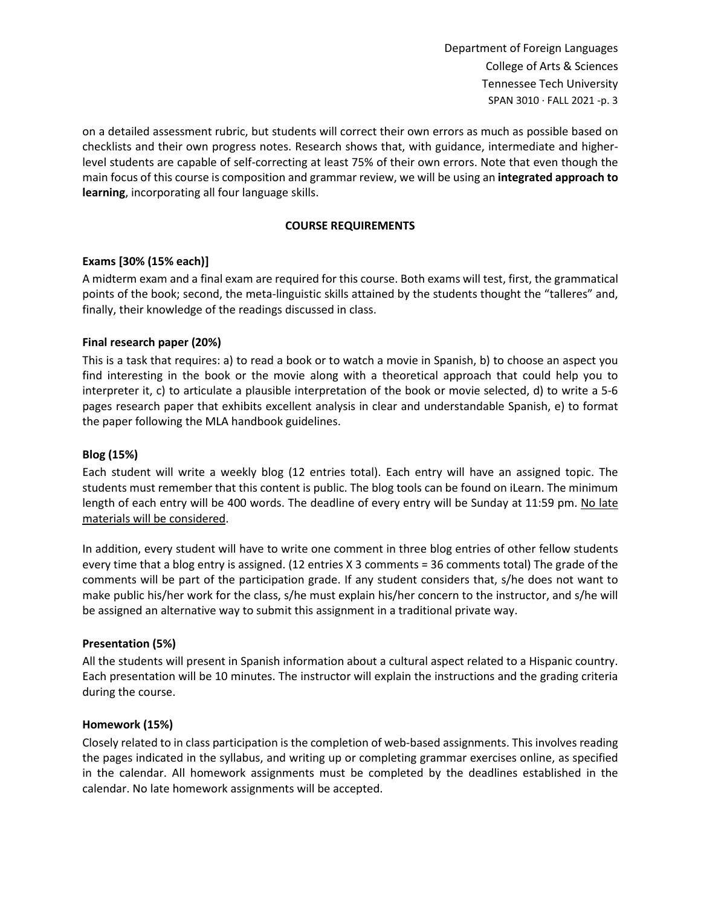on a detailed assessment rubric, but students will correct their own errors as much as possible based on checklists and their own progress notes. Research shows that, with guidance, intermediate and higherlevel students are capable of self-correcting at least 75% of their own errors. Note that even though the main focus of this course is composition and grammar review, we will be using an **integrated approach to learning**, incorporating all four language skills.

# **COURSE REQUIREMENTS**

# **Exams [30% (15% each)]**

A midterm exam and a final exam are required for this course. Both exams will test, first, the grammatical points of the book; second, the meta-linguistic skills attained by the students thought the "talleres" and, finally, their knowledge of the readings discussed in class.

# **Final research paper (20%)**

This is a task that requires: a) to read a book or to watch a movie in Spanish, b) to choose an aspect you find interesting in the book or the movie along with a theoretical approach that could help you to interpreter it, c) to articulate a plausible interpretation of the book or movie selected, d) to write a 5-6 pages research paper that exhibits excellent analysis in clear and understandable Spanish, e) to format the paper following the MLA handbook guidelines.

## **Blog (15%)**

Each student will write a weekly blog (12 entries total). Each entry will have an assigned topic. The students must remember that this content is public. The blog tools can be found on iLearn. The minimum length of each entry will be 400 words. The deadline of every entry will be Sunday at 11:59 pm. No late materials will be considered.

In addition, every student will have to write one comment in three blog entries of other fellow students every time that a blog entry is assigned. (12 entries X 3 comments = 36 comments total) The grade of the comments will be part of the participation grade. If any student considers that, s/he does not want to make public his/her work for the class, s/he must explain his/her concern to the instructor, and s/he will be assigned an alternative way to submit this assignment in a traditional private way.

### **Presentation (5%)**

All the students will present in Spanish information about a cultural aspect related to a Hispanic country. Each presentation will be 10 minutes. The instructor will explain the instructions and the grading criteria during the course.

### **Homework (15%)**

Closely related to in class participation is the completion of web-based assignments. This involves reading the pages indicated in the syllabus, and writing up or completing grammar exercises online, as specified in the calendar. All homework assignments must be completed by the deadlines established in the calendar. No late homework assignments will be accepted.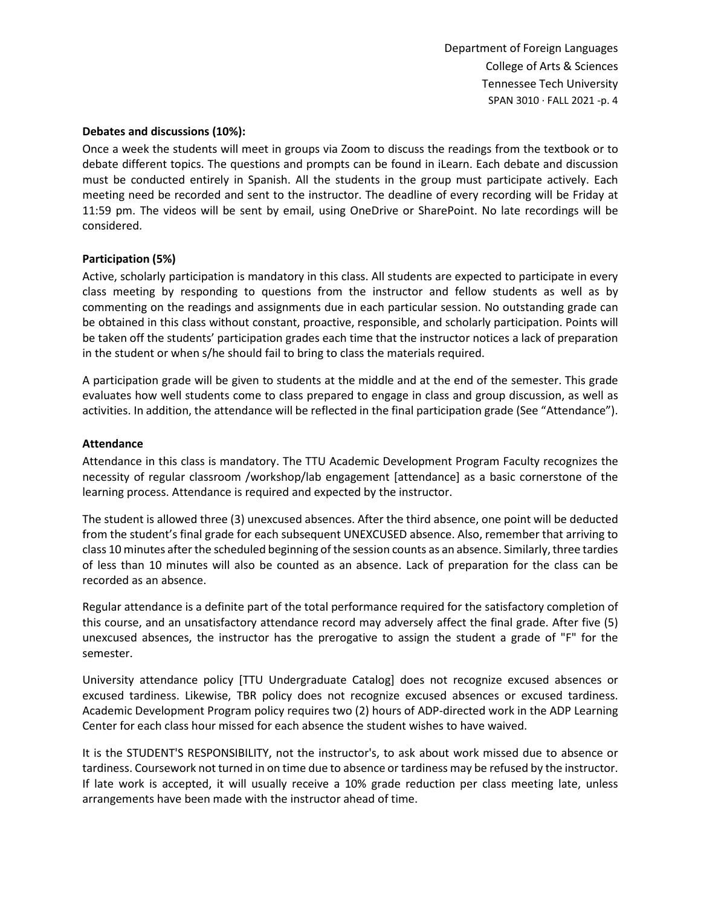#### **Debates and discussions (10%):**

Once a week the students will meet in groups via Zoom to discuss the readings from the textbook or to debate different topics. The questions and prompts can be found in iLearn. Each debate and discussion must be conducted entirely in Spanish. All the students in the group must participate actively. Each meeting need be recorded and sent to the instructor. The deadline of every recording will be Friday at 11:59 pm. The videos will be sent by email, using OneDrive or SharePoint. No late recordings will be considered.

### **Participation (5%)**

Active, scholarly participation is mandatory in this class. All students are expected to participate in every class meeting by responding to questions from the instructor and fellow students as well as by commenting on the readings and assignments due in each particular session. No outstanding grade can be obtained in this class without constant, proactive, responsible, and scholarly participation. Points will be taken off the students' participation grades each time that the instructor notices a lack of preparation in the student or when s/he should fail to bring to class the materials required.

A participation grade will be given to students at the middle and at the end of the semester. This grade evaluates how well students come to class prepared to engage in class and group discussion, as well as activities. In addition, the attendance will be reflected in the final participation grade (See "Attendance").

#### **Attendance**

Attendance in this class is mandatory. The TTU Academic Development Program Faculty recognizes the necessity of regular classroom /workshop/lab engagement [attendance] as a basic cornerstone of the learning process. Attendance is required and expected by the instructor.

The student is allowed three (3) unexcused absences. After the third absence, one point will be deducted from the student's final grade for each subsequent UNEXCUSED absence. Also, remember that arriving to class 10 minutes after the scheduled beginning of the session counts as an absence. Similarly, three tardies of less than 10 minutes will also be counted as an absence. Lack of preparation for the class can be recorded as an absence.

Regular attendance is a definite part of the total performance required for the satisfactory completion of this course, and an unsatisfactory attendance record may adversely affect the final grade. After five (5) unexcused absences, the instructor has the prerogative to assign the student a grade of "F" for the semester.

University attendance policy [TTU Undergraduate Catalog] does not recognize excused absences or excused tardiness. Likewise, TBR policy does not recognize excused absences or excused tardiness. Academic Development Program policy requires two (2) hours of ADP-directed work in the ADP Learning Center for each class hour missed for each absence the student wishes to have waived.

It is the STUDENT'S RESPONSIBILITY, not the instructor's, to ask about work missed due to absence or tardiness. Coursework not turned in on time due to absence or tardiness may be refused by the instructor. If late work is accepted, it will usually receive a 10% grade reduction per class meeting late, unless arrangements have been made with the instructor ahead of time.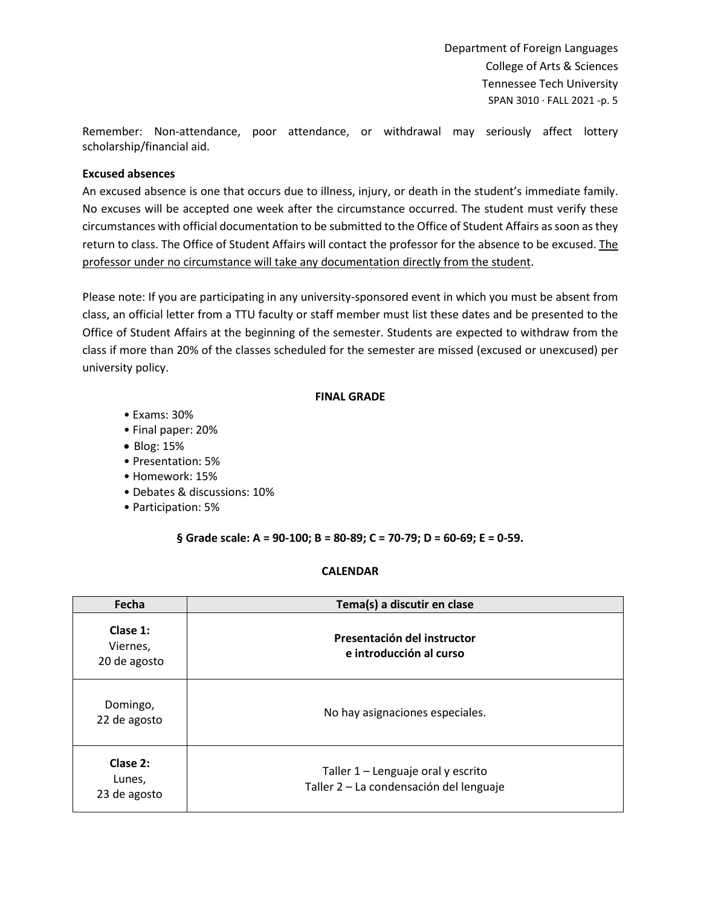Remember: Non-attendance, poor attendance, or withdrawal may seriously affect lottery scholarship/financial aid.

#### **Excused absences**

An excused absence is one that occurs due to illness, injury, or death in the student's immediate family. No excuses will be accepted one week after the circumstance occurred. The student must verify these circumstances with official documentation to be submitted to the Office of Student Affairs as soon as they return to class. The Office of Student Affairs will contact the professor for the absence to be excused. The professor under no circumstance will take any documentation directly from the student.

Please note: If you are participating in any university-sponsored event in which you must be absent from class, an official letter from a TTU faculty or staff member must list these dates and be presented to the Office of Student Affairs at the beginning of the semester. Students are expected to withdraw from the class if more than 20% of the classes scheduled for the semester are missed (excused or unexcused) per university policy.

### **FINAL GRADE**

- Exams: 30%
- Final paper: 20%
- Blog: 15%
- Presentation: 5%
- Homework: 15%
- Debates & discussions: 10%
- Participation: 5%

### **§ Grade scale: A = 90-100; B = 80-89; C = 70-79; D = 60-69; E = 0-59.**

#### **CALENDAR**

| Fecha                                | Tema(s) a discutir en clase                                                   |
|--------------------------------------|-------------------------------------------------------------------------------|
| Clase 1:<br>Viernes,<br>20 de agosto | Presentación del instructor<br>e introducción al curso                        |
| Domingo,<br>22 de agosto             | No hay asignaciones especiales.                                               |
| Clase 2:<br>Lunes,<br>23 de agosto   | Taller 1 - Lenguaje oral y escrito<br>Taller 2 - La condensación del lenguaje |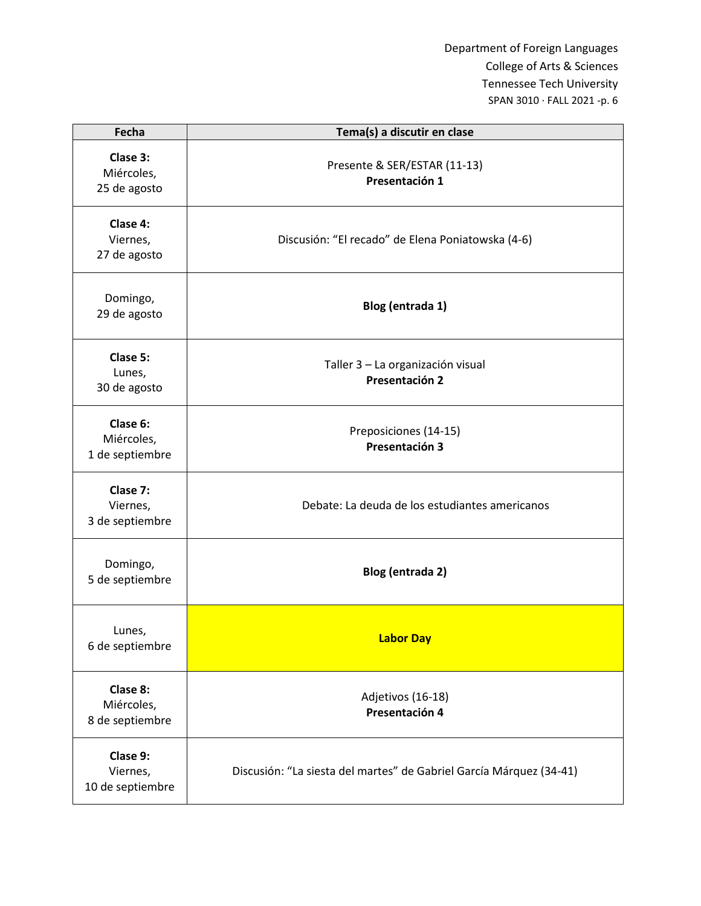| Fecha                                     | Tema(s) a discutir en clase                                         |
|-------------------------------------------|---------------------------------------------------------------------|
| Clase 3:<br>Miércoles,<br>25 de agosto    | Presente & SER/ESTAR (11-13)<br>Presentación 1                      |
| Clase 4:<br>Viernes,<br>27 de agosto      | Discusión: "El recado" de Elena Poniatowska (4-6)                   |
| Domingo,<br>29 de agosto                  | Blog (entrada 1)                                                    |
| Clase 5:<br>Lunes,<br>30 de agosto        | Taller 3 - La organización visual<br>Presentación 2                 |
| Clase 6:<br>Miércoles,<br>1 de septiembre | Preposiciones (14-15)<br>Presentación 3                             |
| Clase 7:<br>Viernes,<br>3 de septiembre   | Debate: La deuda de los estudiantes americanos                      |
| Domingo,<br>5 de septiembre               | Blog (entrada 2)                                                    |
| Lunes,<br>6 de septiembre                 | <b>Labor Day</b>                                                    |
| Clase 8:<br>Miércoles,<br>8 de septiembre | Adjetivos (16-18)<br>Presentación 4                                 |
| Clase 9:<br>Viernes,<br>10 de septiembre  | Discusión: "La siesta del martes" de Gabriel García Márquez (34-41) |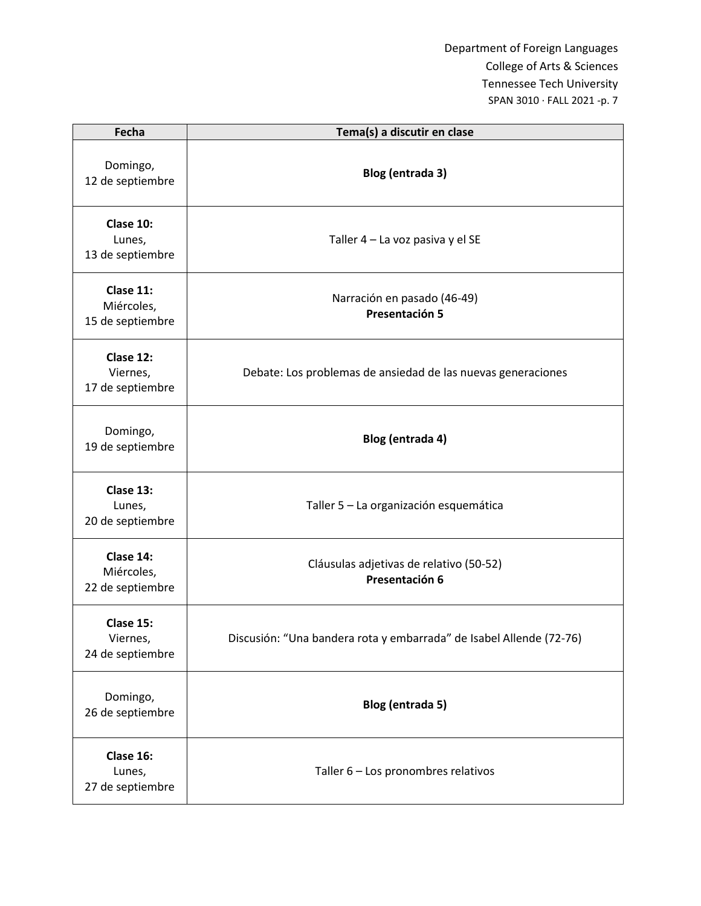| Fecha                                       | Tema(s) a discutir en clase                                         |
|---------------------------------------------|---------------------------------------------------------------------|
| Domingo,<br>12 de septiembre                | Blog (entrada 3)                                                    |
| Clase 10:<br>Lunes,<br>13 de septiembre     | Taller 4 - La voz pasiva y el SE                                    |
| Clase 11:<br>Miércoles,<br>15 de septiembre | Narración en pasado (46-49)<br>Presentación 5                       |
| Clase 12:<br>Viernes,<br>17 de septiembre   | Debate: Los problemas de ansiedad de las nuevas generaciones        |
| Domingo,<br>19 de septiembre                | Blog (entrada 4)                                                    |
| Clase 13:<br>Lunes,<br>20 de septiembre     | Taller 5 - La organización esquemática                              |
| Clase 14:<br>Miércoles,<br>22 de septiembre | Cláusulas adjetivas de relativo (50-52)<br>Presentación 6           |
| Clase 15:<br>Viernes,<br>24 de septiembre   | Discusión: "Una bandera rota y embarrada" de Isabel Allende (72-76) |
| Domingo,<br>26 de septiembre                | Blog (entrada 5)                                                    |
| Clase 16:<br>Lunes,<br>27 de septiembre     | Taller 6 - Los pronombres relativos                                 |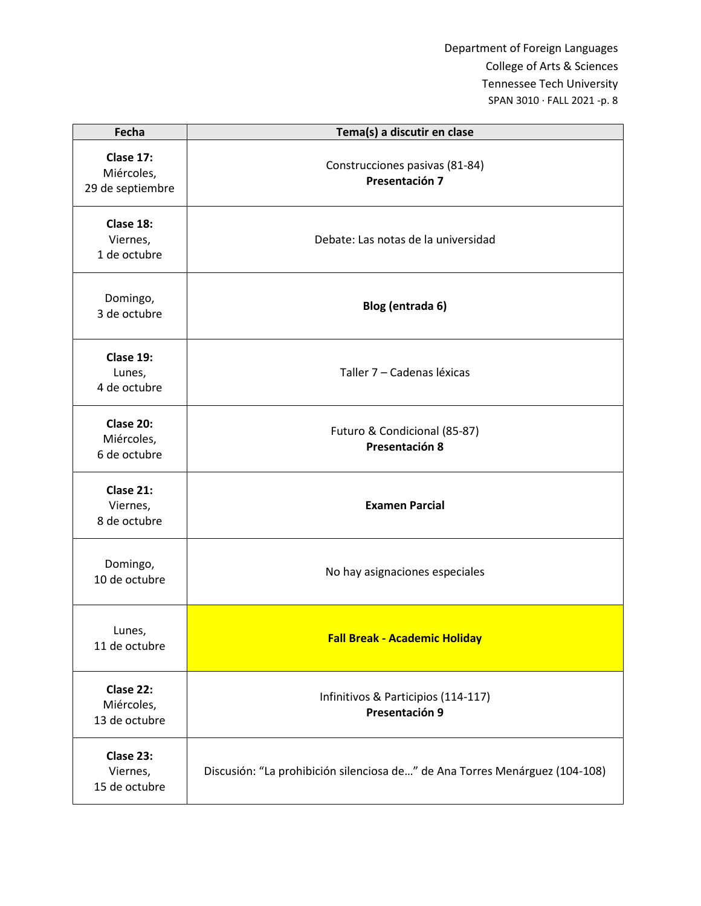| Fecha                                       | Tema(s) a discutir en clase                                                 |
|---------------------------------------------|-----------------------------------------------------------------------------|
| Clase 17:<br>Miércoles,<br>29 de septiembre | Construcciones pasivas (81-84)<br>Presentación 7                            |
| Clase 18:<br>Viernes,<br>1 de octubre       | Debate: Las notas de la universidad                                         |
| Domingo,<br>3 de octubre                    | Blog (entrada 6)                                                            |
| Clase 19:<br>Lunes,<br>4 de octubre         | Taller 7 - Cadenas léxicas                                                  |
| Clase 20:<br>Miércoles,<br>6 de octubre     | Futuro & Condicional (85-87)<br>Presentación 8                              |
| Clase 21:<br>Viernes,<br>8 de octubre       | <b>Examen Parcial</b>                                                       |
| Domingo,<br>10 de octubre                   | No hay asignaciones especiales                                              |
| Lunes,<br>11 de octubre                     | <b>Fall Break - Academic Holiday</b>                                        |
| Clase 22:<br>Miércoles,<br>13 de octubre    | Infinitivos & Participios (114-117)<br>Presentación 9                       |
| Clase 23:<br>Viernes,<br>15 de octubre      | Discusión: "La prohibición silenciosa de" de Ana Torres Menárguez (104-108) |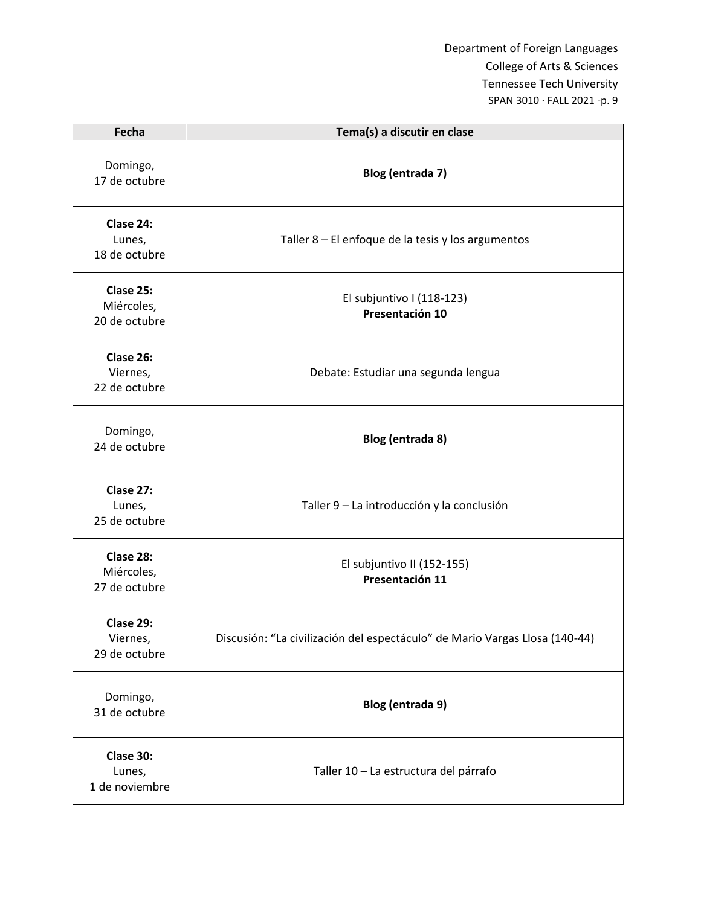| Fecha                                    | Tema(s) a discutir en clase                                                 |
|------------------------------------------|-----------------------------------------------------------------------------|
| Domingo,<br>17 de octubre                | Blog (entrada 7)                                                            |
| Clase 24:<br>Lunes,<br>18 de octubre     | Taller 8 - El enfoque de la tesis y los argumentos                          |
| Clase 25:<br>Miércoles,<br>20 de octubre | El subjuntivo I (118-123)<br>Presentación 10                                |
| Clase 26:<br>Viernes,<br>22 de octubre   | Debate: Estudiar una segunda lengua                                         |
| Domingo,<br>24 de octubre                | Blog (entrada 8)                                                            |
| Clase 27:<br>Lunes,<br>25 de octubre     | Taller 9 - La introducción y la conclusión                                  |
| Clase 28:<br>Miércoles,<br>27 de octubre | El subjuntivo II (152-155)<br>Presentación 11                               |
| Clase 29:<br>Viernes,<br>29 de octubre   | Discusión: "La civilización del espectáculo" de Mario Vargas Llosa (140-44) |
| Domingo,<br>31 de octubre                | Blog (entrada 9)                                                            |
| Clase 30:<br>Lunes,<br>1 de noviembre    | Taller 10 - La estructura del párrafo                                       |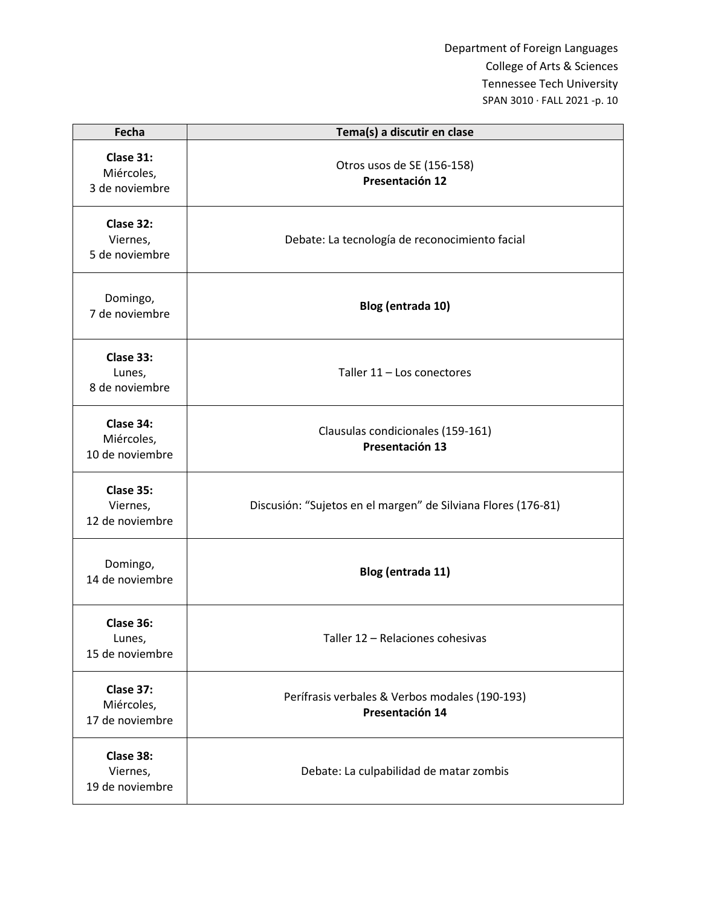| Fecha                                      | Tema(s) a discutir en clase                                       |
|--------------------------------------------|-------------------------------------------------------------------|
| Clase 31:<br>Miércoles,<br>3 de noviembre  | Otros usos de SE (156-158)<br>Presentación 12                     |
| Clase 32:<br>Viernes,<br>5 de noviembre    | Debate: La tecnología de reconocimiento facial                    |
| Domingo,<br>7 de noviembre                 | Blog (entrada 10)                                                 |
| Clase 33:<br>Lunes,<br>8 de noviembre      | Taller 11 - Los conectores                                        |
| Clase 34:<br>Miércoles,<br>10 de noviembre | Clausulas condicionales (159-161)<br>Presentación 13              |
| Clase 35:<br>Viernes,<br>12 de noviembre   | Discusión: "Sujetos en el margen" de Silviana Flores (176-81)     |
| Domingo,<br>14 de noviembre                | Blog (entrada 11)                                                 |
| Clase 36:<br>Lunes,<br>15 de noviembre     | Taller 12 - Relaciones cohesivas                                  |
| Clase 37:<br>Miércoles,<br>17 de noviembre | Perífrasis verbales & Verbos modales (190-193)<br>Presentación 14 |
| Clase 38:<br>Viernes,<br>19 de noviembre   | Debate: La culpabilidad de matar zombis                           |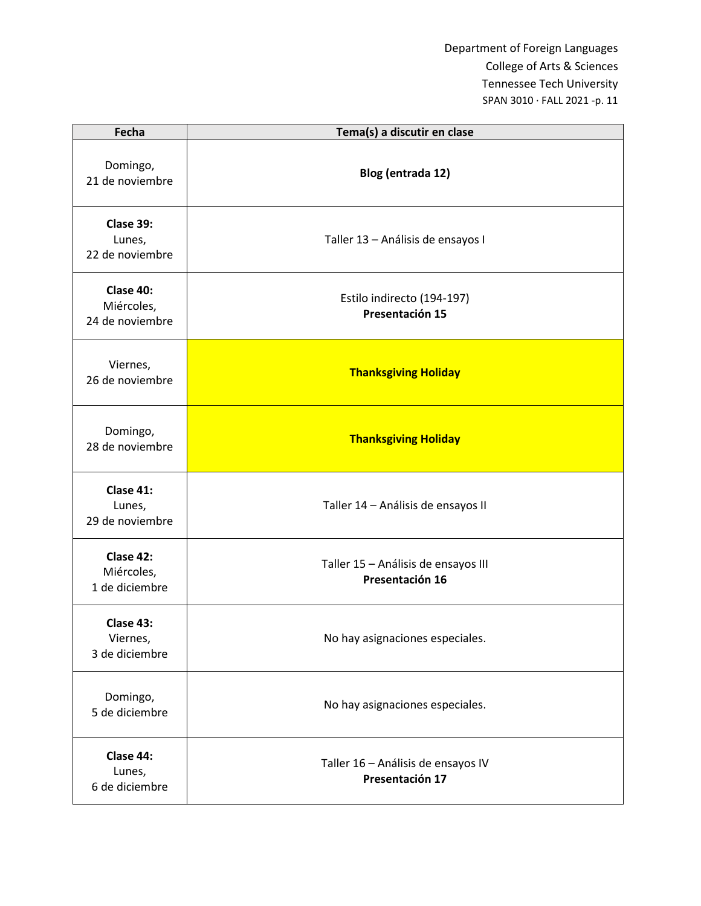| Fecha                                      | Tema(s) a discutir en clase                            |
|--------------------------------------------|--------------------------------------------------------|
| Domingo,<br>21 de noviembre                | Blog (entrada 12)                                      |
| Clase 39:<br>Lunes,<br>22 de noviembre     | Taller 13 - Análisis de ensayos I                      |
| Clase 40:<br>Miércoles,<br>24 de noviembre | Estilo indirecto (194-197)<br>Presentación 15          |
| Viernes,<br>26 de noviembre                | <b>Thanksgiving Holiday</b>                            |
| Domingo,<br>28 de noviembre                | <b>Thanksgiving Holiday</b>                            |
| Clase 41:<br>Lunes,<br>29 de noviembre     | Taller 14 - Análisis de ensayos II                     |
| Clase 42:<br>Miércoles,<br>1 de diciembre  | Taller 15 - Análisis de ensayos III<br>Presentación 16 |
| Clase 43:<br>Viernes,<br>3 de diciembre    | No hay asignaciones especiales.                        |
| Domingo,<br>5 de diciembre                 | No hay asignaciones especiales.                        |
| Clase 44:<br>Lunes,<br>6 de diciembre      | Taller 16 - Análisis de ensayos IV<br>Presentación 17  |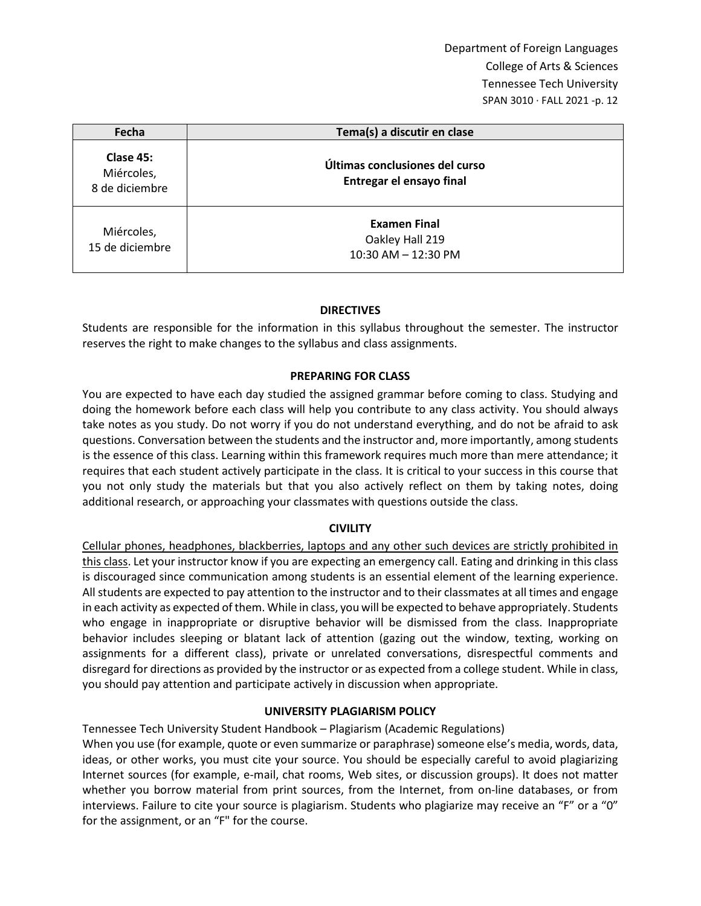| Fecha                                     | Tema(s) a discutir en clase                                   |
|-------------------------------------------|---------------------------------------------------------------|
| Clase 45:<br>Miércoles,<br>8 de diciembre | Últimas conclusiones del curso<br>Entregar el ensayo final    |
| Miércoles,<br>15 de diciembre             | <b>Examen Final</b><br>Oakley Hall 219<br>10:30 AM - 12:30 PM |

### **DIRECTIVES**

Students are responsible for the information in this syllabus throughout the semester. The instructor reserves the right to make changes to the syllabus and class assignments.

### **PREPARING FOR CLASS**

You are expected to have each day studied the assigned grammar before coming to class. Studying and doing the homework before each class will help you contribute to any class activity. You should always take notes as you study. Do not worry if you do not understand everything, and do not be afraid to ask questions. Conversation between the students and the instructor and, more importantly, among students is the essence of this class. Learning within this framework requires much more than mere attendance; it requires that each student actively participate in the class. It is critical to your success in this course that you not only study the materials but that you also actively reflect on them by taking notes, doing additional research, or approaching your classmates with questions outside the class.

### **CIVILITY**

Cellular phones, headphones, blackberries, laptops and any other such devices are strictly prohibited in this class. Let your instructor know if you are expecting an emergency call. Eating and drinking in this class is discouraged since communication among students is an essential element of the learning experience. All students are expected to pay attention to the instructor and to their classmates at all times and engage in each activity as expected of them. While in class, you will be expected to behave appropriately. Students who engage in inappropriate or disruptive behavior will be dismissed from the class. Inappropriate behavior includes sleeping or blatant lack of attention (gazing out the window, texting, working on assignments for a different class), private or unrelated conversations, disrespectful comments and disregard for directions as provided by the instructor or as expected from a college student. While in class, you should pay attention and participate actively in discussion when appropriate.

#### **UNIVERSITY PLAGIARISM POLICY**

Tennessee Tech University Student Handbook – Plagiarism (Academic Regulations)

When you use (for example, quote or even summarize or paraphrase) someone else's media, words, data, ideas, or other works, you must cite your source. You should be especially careful to avoid plagiarizing Internet sources (for example, e-mail, chat rooms, Web sites, or discussion groups). It does not matter whether you borrow material from print sources, from the Internet, from on-line databases, or from interviews. Failure to cite your source is plagiarism. Students who plagiarize may receive an "F" or a "0" for the assignment, or an "F" for the course.